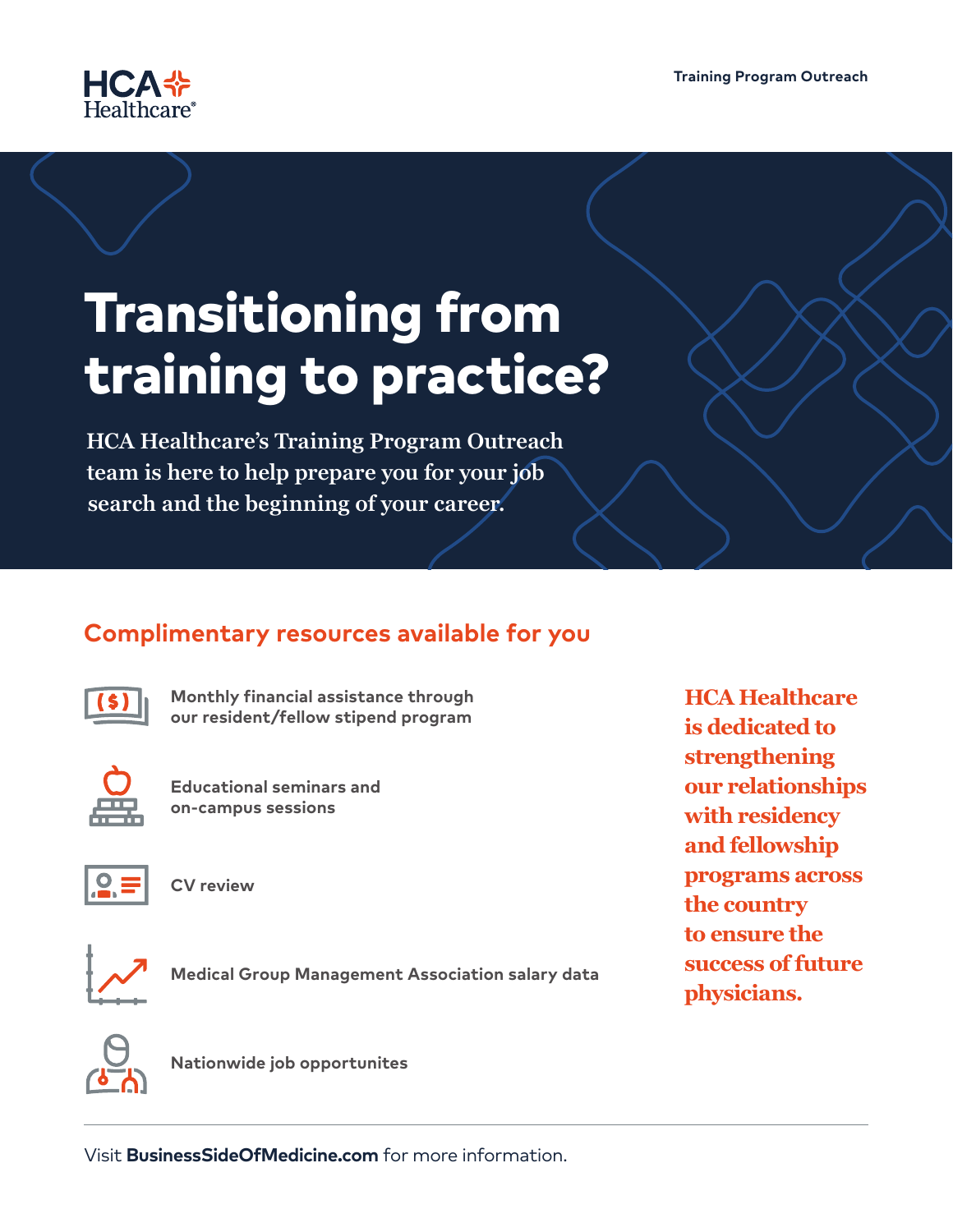

# Transitioning from training to practice?

**HCA Healthcare's Training Program Outreach team is here to help prepare you for your job search and the beginning of your career.** 

## **Complimentary resources available for you**



**Monthly financial assistance through our resident/fellow stipend program**



**Educational seminars and on-campus sessions**



**CV review**



**Medical Group Management Association salary data**

**HCA Healthcare is dedicated to strengthening our relationships with residency and fellowship programs across the country to ensure the success of future physicians.**



**Nationwide job opportunites**

Visit **BusinessSideOfMedicine.com** for more information.